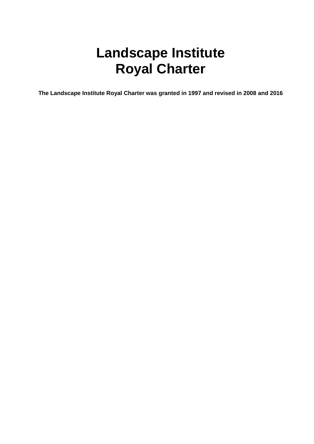# **Landscape Institute Royal Charter**

**The Landscape Institute Royal Charter was granted in 1997 and revised in 2008 and 2016**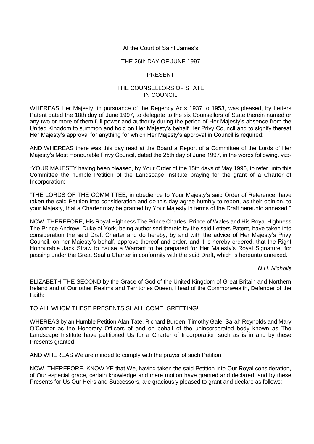## At the Court of Saint James's

#### THE 26th DAY OF JUNE 1997

## PRESENT

### THE COUNSELLORS OF STATE IN COUNCIL

WHEREAS Her Majesty, in pursuance of the Regency Acts 1937 to 1953, was pleased, by Letters Patent dated the 18th day of June 1997, to delegate to the six Counsellors of State therein named or any two or more of them full power and authority during the period of Her Majesty's absence from the United Kingdom to summon and hold on Her Majesty's behalf Her Privy Council and to signify thereat Her Majesty's approval for anything for which Her Majesty's approval in Council is required:

AND WHEREAS there was this day read at the Board a Report of a Committee of the Lords of Her Majesty's Most Honourable Privy Council, dated the 25th day of June 1997, in the words following, viz:-

"YOUR MAJESTY having been pleased, by Your Order of the 15th days of May 1996, to refer unto this Committee the humble Petition of the Landscape Institute praying for the grant of a Charter of Incorporation:

"THE LORDS OF THE COMMITTEE, in obedience to Your Majesty's said Order of Reference, have taken the said Petition into consideration and do this day agree humbly to report, as their opinion, to your Majesty, that a Charter may be granted by Your Majesty in terms of the Draft hereunto annexed."

NOW, THEREFORE, His Royal Highness The Prince Charles, Prince of Wales and His Royal Highness The Prince Andrew, Duke of York, being authorised thereto by the said Letters Patent, have taken into consideration the said Draft Charter and do hereby, by and with the advice of Her Majesty's Privy Council, on her Majesty's behalf, approve thereof and order, and it is hereby ordered, that the Right Honourable Jack Straw to cause a Warrant to be prepared for Her Majesty's Royal Signature, for passing under the Great Seal a Charter in conformity with the said Draft, which is hereunto annexed.

*N.H. Nicholls*

ELIZABETH THE SECOND by the Grace of God of the United Kingdom of Great Britain and Northern Ireland and of Our other Realms and Territories Queen, Head of the Commonwealth, Defender of the Faith:

### TO ALL WHOM THESE PRESENTS SHALL COME, GREETING!

WHEREAS by an Humble Petition Alan Tate, Richard Burden, Timothy Gale, Sarah Reynolds and Mary O'Connor as the Honorary Officers of and on behalf of the unincorporated body known as The Landscape Institute have petitioned Us for a Charter of Incorporation such as is in and by these Presents granted:

AND WHEREAS We are minded to comply with the prayer of such Petition:

NOW, THEREFORE, KNOW YE that We, having taken the said Petition into Our Royal consideration, of Our especial grace, certain knowledge and mere motion have granted and declared, and by these Presents for Us Our Heirs and Successors, are graciously pleased to grant and declare as follows: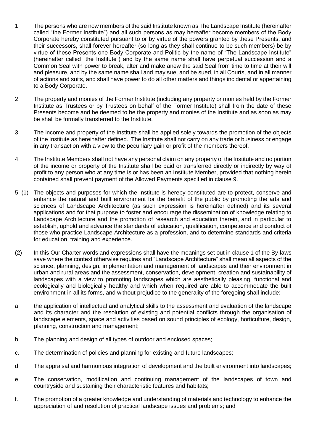- 1. The persons who are now members of the said Institute known as The Landscape Institute (hereinafter called "the Former Institute") and all such persons as may hereafter become members of the Body Corporate hereby constituted pursuant to or by virtue of the powers granted by these Presents, and their successors, shall forever hereafter (so long as they shall continue to be such members) be by virtue of these Presents one Body Corporate and Politic by the name of "The Landscape Institute" (hereinafter called "the Institute") and by the same name shall have perpetual succession and a Common Seal with power to break, alter and make anew the said Seal from time to time at their will and pleasure, and by the same name shall and may sue, and be sued, in all Courts, and in all manner of actions and suits, and shall have power to do all other matters and things incidental or appertaining to a Body Corporate.
- 2. The property and monies of the Former Institute (including any property or monies held by the Former Institute as Trustees or by Trustees on behalf of the Former Institute) shall from the date of these Presents become and be deemed to be the property and monies of the Institute and as soon as may be shall be formally transferred to the Institute.
- 3. The income and property of the Institute shall be applied solely towards the promotion of the objects of the Institute as hereinafter defined. The Institute shall not carry on any trade or business or engage in any transaction with a view to the pecuniary gain or profit of the members thereof.
- 4. The Institute Members shall not have any personal claim on any property of the Institute and no portion of the income or property of the Institute shall be paid or transferred directly or indirectly by way of profit to any person who at any time is or has been an Institute Member, provided that nothing herein contained shall prevent payment of the Allowed Payments specified in clause 9.
- 5. (1) The objects and purposes for which the Institute is hereby constituted are to protect, conserve and enhance the natural and built environment for the benefit of the public by promoting the arts and sciences of Landscape Architecture (as such expression is hereinafter defined) and its several applications and for that purpose to foster and encourage the dissemination of knowledge relating to Landscape Architecture and the promotion of research and education therein, and in particular to establish, uphold and advance the standards of education, qualification, competence and conduct of those who practice Landscape Architecture as a profession, and to determine standards and criteria for education, training and experience.
- (2) In this Our Charter words and expressions shall have the meanings set out in clause 1 of the By-laws save where the context otherwise requires and "Landscape Architecture" shall mean all aspects of the science, planning, design, implementation and management of landscapes and their environment in urban and rural areas and the assessment, conservation, development, creation and sustainability of landscapes with a view to promoting landscapes which are aesthetically pleasing, functional and ecologically and biologically healthy and which when required are able to accommodate the built environment in all its forms, and without prejudice to the generality of the foregoing shall include:
- a. the application of intellectual and analytical skills to the assessment and evaluation of the landscape and its character and the resolution of existing and potential conflicts through the organisation of landscape elements, space and activities based on sound principles of ecology, horticulture, design, planning, construction and management;
- b. The planning and design of all types of outdoor and enclosed spaces;
- c. The determination of policies and planning for existing and future landscapes;
- d. The appraisal and harmonious integration of development and the built environment into landscapes;
- e. The conservation, modification and continuing management of the landscapes of town and countryside and sustaining their characteristic features and habitats;
- f. The promotion of a greater knowledge and understanding of materials and technology to enhance the appreciation of and resolution of practical landscape issues and problems; and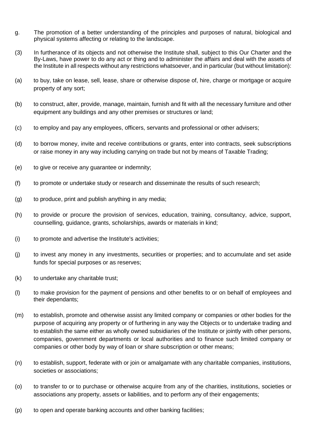- g. The promotion of a better understanding of the principles and purposes of natural, biological and physical systems affecting or relating to the landscape.
- (3) In furtherance of its objects and not otherwise the Institute shall, subject to this Our Charter and the By-Laws, have power to do any act or thing and to administer the affairs and deal with the assets of the Institute in all respects without any restrictions whatsoever, and in particular (but without limitation):
- (a) to buy, take on lease, sell, lease, share or otherwise dispose of, hire, charge or mortgage or acquire property of any sort;
- (b) to construct, alter, provide, manage, maintain, furnish and fit with all the necessary furniture and other equipment any buildings and any other premises or structures or land;
- (c) to employ and pay any employees, officers, servants and professional or other advisers;
- (d) to borrow money, invite and receive contributions or grants, enter into contracts, seek subscriptions or raise money in any way including carrying on trade but not by means of Taxable Trading;
- (e) to give or receive any guarantee or indemnity;
- (f) to promote or undertake study or research and disseminate the results of such research;
- (g) to produce, print and publish anything in any media;
- (h) to provide or procure the provision of services, education, training, consultancy, advice, support, counselling, guidance, grants, scholarships, awards or materials in kind;
- (i) to promote and advertise the Institute's activities;
- (j) to invest any money in any investments, securities or properties; and to accumulate and set aside funds for special purposes or as reserves;
- (k) to undertake any charitable trust;
- (l) to make provision for the payment of pensions and other benefits to or on behalf of employees and their dependants;
- (m) to establish, promote and otherwise assist any limited company or companies or other bodies for the purpose of acquiring any property or of furthering in any way the Objects or to undertake trading and to establish the same either as wholly owned subsidiaries of the Institute or jointly with other persons, companies, government departments or local authorities and to finance such limited company or companies or other body by way of loan or share subscription or other means;
- (n) to establish, support, federate with or join or amalgamate with any charitable companies, institutions, societies or associations;
- (o) to transfer to or to purchase or otherwise acquire from any of the charities, institutions, societies or associations any property, assets or liabilities, and to perform any of their engagements;
- (p) to open and operate banking accounts and other banking facilities;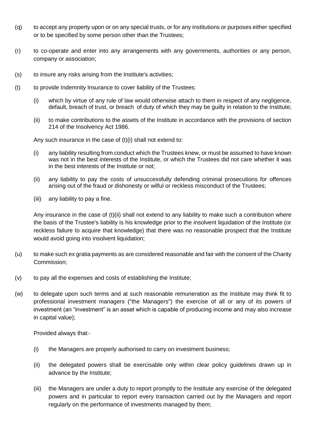- (q) to accept any property upon or on any special trusts, or for any institutions or purposes either specified or to be specified by some person other than the Trustees;
- (r) to co-operate and enter into any arrangements with any governments, authorities or any person, company or association;
- (s) to insure any risks arising from the Institute's activities;
- (t) to provide Indemnity Insurance to cover liability of the Trustees:
	- (i) which by virtue of any rule of law would otherwise attach to them in respect of any negligence, default, breach of trust, or breach of duty of which they may be guilty in relation to the Institute;
	- (ii) to make contributions to the assets of the Institute in accordance with the provisions of section 214 of the Insolvency Act 1986.

Any such insurance in the case of  $(t)(i)$  shall not extend to:

- (i) any liability resulting from conduct which the Trustees knew, or must be assumed to have known was not in the best interests of the Institute, or which the Trustees did not care whether it was in the best interests of the Institute or not;
- (ii) any liability to pay the costs of unsuccessfully defending criminal prosecutions for offences arising out of the fraud or dishonesty or wilful or reckless misconduct of the Trustees;
- (iii) any liability to pay a fine.

Any insurance in the case of  $(t)(ii)$  shall not extend to any liability to make such a contribution where the basis of the Trustee's liability is his knowledge prior to the insolvent liquidation of the Institute (or reckless failure to acquire that knowledge) that there was no reasonable prospect that the Institute would avoid going into insolvent liquidation;

- (u) to make such ex gratia payments as are considered reasonable and fair with the consent of the Charity Commission;
- (v) to pay all the expenses and costs of establishing the Institute;
- (w) to delegate upon such terms and at such reasonable remuneration as the Institute may think fit to professional investment managers ("the Managers") the exercise of all or any of its powers of investment (an "investment" is an asset which is capable of producing income and may also increase in capital value);

Provided always that:-

- (i) the Managers are properly authorised to carry on investment business;
- (ii) the delegated powers shall be exercisable only within clear policy guidelines drawn up in advance by the Institute;
- (iii) the Managers are under a duty to report promptly to the Institute any exercise of the delegated powers and in particular to report every transaction carried out by the Managers and report regularly on the performance of investments managed by them;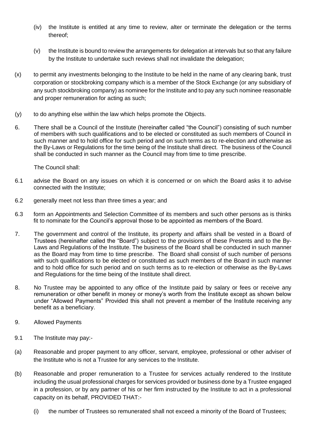- (iv) the Institute is entitled at any time to review, alter or terminate the delegation or the terms thereof;
- (v) the Institute is bound to review the arrangements for delegation at intervals but so that any failure by the Institute to undertake such reviews shall not invalidate the delegation;
- (x) to permit any investments belonging to the Institute to be held in the name of any clearing bank, trust corporation or stockbroking company which is a member of the Stock Exchange (or any subsidiary of any such stockbroking company) as nominee for the Institute and to pay any such nominee reasonable and proper remuneration for acting as such;
- (y) to do anything else within the law which helps promote the Objects.
- 6. There shall be a Council of the Institute (hereinafter called "the Council") consisting of such number of members with such qualifications and to be elected or constituted as such members of Council in such manner and to hold office for such period and on such terms as to re-election and otherwise as the By-Laws or Regulations for the time being of the Institute shall direct. The business of the Council shall be conducted in such manner as the Council may from time to time prescribe.

The Council shall:

- 6.1 advise the Board on any issues on which it is concerned or on which the Board asks it to advise connected with the Institute;
- 6.2 generally meet not less than three times a year; and
- 6.3 form an Appointments and Selection Committee of its members and such other persons as is thinks fit to nominate for the Council's approval those to be appointed as members of the Board.
- 7. The government and control of the Institute, its property and affairs shall be vested in a Board of Trustees (hereinafter called the "Board") subject to the provisions of these Presents and to the By-Laws and Regulations of the Institute. The business of the Board shall be conducted in such manner as the Board may from time to time prescribe. The Board shall consist of such number of persons with such qualifications to be elected or constituted as such members of the Board in such manner and to hold office for such period and on such terms as to re-election or otherwise as the By-Laws and Regulations for the time being of the Institute shall direct.
- 8. No Trustee may be appointed to any office of the Institute paid by salary or fees or receive any remuneration or other benefit in money or money's worth from the Institute except as shown below under "Allowed Payments" Provided this shall not prevent a member of the Institute receiving any benefit as a beneficiary.
- 9. Allowed Payments
- 9.1 The Institute may pay:-
- (a) Reasonable and proper payment to any officer, servant, employee, professional or other adviser of the Institute who is not a Trustee for any services to the Institute.
- (b) Reasonable and proper remuneration to a Trustee for services actually rendered to the Institute including the usual professional charges for services provided or business done by a Trustee engaged in a profession, or by any partner of his or her firm instructed by the Institute to act in a professional capacity on its behalf, PROVIDED THAT:-
	- (i) the number of Trustees so remunerated shall not exceed a minority of the Board of Trustees;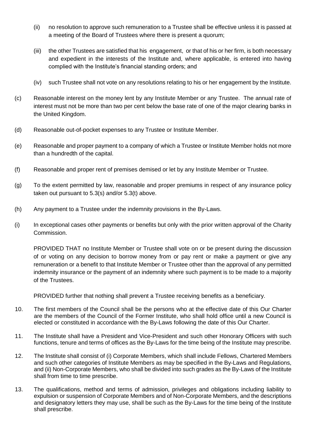- (ii) no resolution to approve such remuneration to a Trustee shall be effective unless it is passed at a meeting of the Board of Trustees where there is present a quorum;
- (iii) the other Trustees are satisfied that his engagement, or that of his or her firm, is both necessary and expedient in the interests of the Institute and, where applicable, is entered into having complied with the Institute's financial standing orders; and
- (iv) such Trustee shall not vote on any resolutions relating to his or her engagement by the Institute.
- (c) Reasonable interest on the money lent by any Institute Member or any Trustee. The annual rate of interest must not be more than two per cent below the base rate of one of the major clearing banks in the United Kingdom.
- (d) Reasonable out-of-pocket expenses to any Trustee or Institute Member.
- (e) Reasonable and proper payment to a company of which a Trustee or Institute Member holds not more than a hundredth of the capital.
- (f) Reasonable and proper rent of premises demised or let by any Institute Member or Trustee.
- (g) To the extent permitted by law, reasonable and proper premiums in respect of any insurance policy taken out pursuant to 5.3(s) and/or 5.3(t) above.
- (h) Any payment to a Trustee under the indemnity provisions in the By-Laws.
- (i) In exceptional cases other payments or benefits but only with the prior written approval of the Charity Commission.

PROVIDED THAT no Institute Member or Trustee shall vote on or be present during the discussion of or voting on any decision to borrow money from or pay rent or make a payment or give any remuneration or a benefit to that Institute Member or Trustee other than the approval of any permitted indemnity insurance or the payment of an indemnity where such payment is to be made to a majority of the Trustees.

PROVIDED further that nothing shall prevent a Trustee receiving benefits as a beneficiary.

- 10. The first members of the Council shall be the persons who at the effective date of this Our Charter are the members of the Council of the Former Institute, who shall hold office until a new Council is elected or constituted in accordance with the By-Laws following the date of this Our Charter.
- 11. The Institute shall have a President and Vice-President and such other Honorary Officers with such functions, tenure and terms of offices as the By-Laws for the time being of the Institute may prescribe.
- 12. The Institute shall consist of (i) Corporate Members, which shall include Fellows, Chartered Members and such other categories of Institute Members as may be specified in the By-Laws and Regulations, and (ii) Non-Corporate Members, who shall be divided into such grades as the By-Laws of the Institute shall from time to time prescribe.
- 13. The qualifications, method and terms of admission, privileges and obligations including liability to expulsion or suspension of Corporate Members and of Non-Corporate Members, and the descriptions and designatory letters they may use, shall be such as the By-Laws for the time being of the Institute shall prescribe.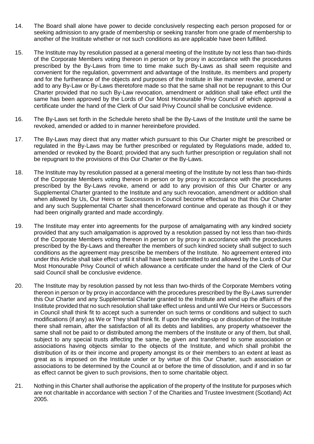- 14. The Board shall alone have power to decide conclusively respecting each person proposed for or seeking admission to any grade of membership or seeking transfer from one grade of membership to another of the Institute whether or not such conditions as are applicable have been fulfilled.
- 15. The Institute may by resolution passed at a general meeting of the Institute by not less than two-thirds of the Corporate Members voting thereon in person or by proxy in accordance with the procedures prescribed by the By-Laws from time to time make such By-Laws as shall seem requisite and convenient for the regulation, government and advantage of the Institute, its members and property and for the furtherance of the objects and purposes of the Institute in like manner revoke, amend or add to any By-Law or By-Laws theretofore made so that the same shall not be repugnant to this Our Charter provided that no such By-Law revocation, amendment or addition shall take effect until the same has been approved by the Lords of Our Most Honourable Privy Council of which approval a certificate under the hand of the Clerk of Our said Privy Council shall be conclusive evidence.
- 16. The By-Laws set forth in the Schedule hereto shall be the By-Laws of the Institute until the same be revoked, amended or added to in manner hereinbefore provided.
- 17. The By-Laws may direct that any matter which pursuant to this Our Charter might be prescribed or regulated in the By-Laws may be further prescribed or regulated by Regulations made, added to, amended or revoked by the Board; provided that any such further prescription or regulation shall not be repugnant to the provisions of this Our Charter or the By-Laws.
- 18. The Institute may by resolution passed at a general meeting of the Institute by not less than two-thirds of the Corporate Members voting thereon in person or by proxy in accordance with the procedures prescribed by the By-Laws revoke, amend or add to any provision of this Our Charter or any Supplemental Charter granted to the Institute and any such revocation, amendment or addition shall when allowed by Us, Our Heirs or Successors in Council become effectual so that this Our Charter and any such Supplemental Charter shall thenceforward continue and operate as though it or they had been originally granted and made accordingly.
- 19. The Institute may enter into agreements for the purpose of amalgamating with any kindred society provided that any such amalgamation is approved by a resolution passed by not less than two-thirds of the Corporate Members voting thereon in person or by proxy in accordance with the procedures prescribed by the By-Laws and thereafter the members of such kindred society shall subject to such conditions as the agreement may prescribe be members of the Institute. No agreement entered into under this Article shall take effect until it shall have been submitted to and allowed by the Lords of Our Most Honourable Privy Council of which allowance a certificate under the hand of the Clerk of Our said Council shall be conclusive evidence.
- 20. The Institute may by resolution passed by not less than two-thirds of the Corporate Members voting thereon in person or by proxy in accordance with the procedures prescribed by the By-Laws surrender this Our Charter and any Supplemental Charter granted to the Institute and wind up the affairs of the Institute provided that no such resolution shall take effect unless and until We Our Heirs or Successors in Council shall think fit to accept such a surrender on such terms or conditions and subject to such modifications (if any) as We or They shall think fit. If upon the winding-up or dissolution of the Institute there shall remain, after the satisfaction of all its debts and liabilities, any property whatsoever the same shall not be paid to or distributed among the members of the Institute or any of them, but shall, subject to any special trusts affecting the same, be given and transferred to some association or associations having objects similar to the objects of the Institute, and which shall prohibit the distribution of its or their income and property amongst its or their members to an extent at least as great as is imposed on the Institute under or by virtue of this Our Charter, such association or associations to be determined by the Council at or before the time of dissolution, and if and in so far as effect cannot be given to such provisions, then to some charitable object.
- 21. Nothing in this Charter shall authorise the application of the property of the Institute for purposes which are not charitable in accordance with section 7 of the Charities and Trustee Investment (Scotland) Act 2005.